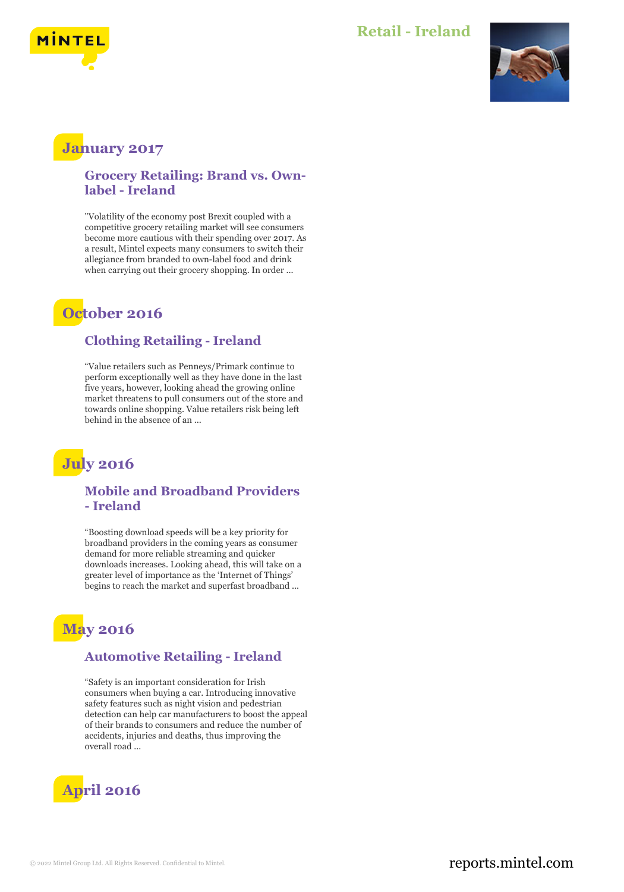

### **Retail - Ireland**



### **January 2017**

**Grocery Retailing: Brand vs. Ownlabel - Ireland**

"Volatility of the economy post Brexit coupled with a competitive grocery retailing market will see consumers become more cautious with their spending over 2017. As a result, Mintel expects many consumers to switch their allegiance from branded to own-label food and drink when carrying out their grocery shopping. In order ...

## **October 2016**

#### **Clothing Retailing - Ireland**

"Value retailers such as Penneys/Primark continue to perform exceptionally well as they have done in the last five years, however, looking ahead the growing online market threatens to pull consumers out of the store and towards online shopping. Value retailers risk being left behind in the absence of an ...

# **July 2016**

#### **Mobile and Broadband Providers - Ireland**

"Boosting download speeds will be a key priority for broadband providers in the coming years as consumer demand for more reliable streaming and quicker downloads increases. Looking ahead, this will take on a greater level of importance as the 'Internet of Things' begins to reach the market and superfast broadband ...

# **May 2016**

#### **Automotive Retailing - Ireland**

"Safety is an important consideration for Irish consumers when buying a car. Introducing innovative safety features such as night vision and pedestrian detection can help car manufacturers to boost the appeal of their brands to consumers and reduce the number of accidents, injuries and deaths, thus improving the overall road ...